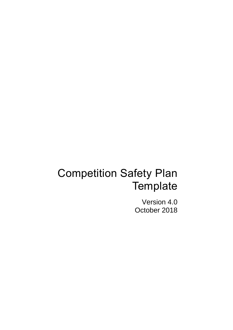# Competition Safety Plan **Template**

Version 4.0 October 2018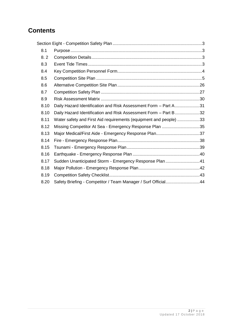# **Contents**

| 8.1  |                                                                   |  |
|------|-------------------------------------------------------------------|--|
| 8.2  |                                                                   |  |
| 8.3  |                                                                   |  |
| 8.4  |                                                                   |  |
| 8.5  |                                                                   |  |
| 8.6  |                                                                   |  |
| 8.7  |                                                                   |  |
| 8.9  |                                                                   |  |
| 8.10 | Daily Hazard Identification and Risk Assessment Form - Part A31   |  |
| 8.10 | Daily Hazard Identification and Risk Assessment Form - Part B32   |  |
| 8.11 | Water safety and First Aid requirements (equipment and people) 33 |  |
| 8.12 | Missing Competitor At Sea - Emergency Response Plan 35            |  |
| 8.13 |                                                                   |  |
| 8.14 |                                                                   |  |
| 8.15 |                                                                   |  |
| 8.16 |                                                                   |  |
| 8.17 | Sudden Unanticipated Storm - Emergency Response Plan 41           |  |
| 8.18 |                                                                   |  |
| 8.19 |                                                                   |  |
| 8.20 | Safety Briefing - Competitor / Team Manager / Surf Official44     |  |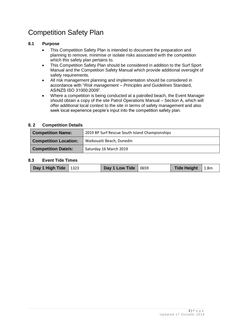# Competition Safety Plan

#### **8.1 Purpose**

- This Competition Safety Plan is intended to document the preparation and planning to remove, minimise or isolate risks associated with the competition which this safety plan pertains to.
- This Competition Safety Plan should be considered in addition to the Surf Sport Manual and the Competition Safety Manual which provide additional oversight of safety requirements.
- All risk management planning and implementation should be considered in accordance with "*Risk management – Principles and Guidelines* Standard, AS/NZS ISO 31000:2009".
- Where a competition is being conducted at a patrolled beach, the Event Manager should obtain a copy of the site Patrol Operations Manual – Section A, which will offer additional local context to the site in terms of safety management and also seek local experience people's input into the competition safety plan.

#### **8. 2 Competition Details**

| <b>Competition Name:</b>     | 2019 BP Surf Rescue South Island Championships |
|------------------------------|------------------------------------------------|
| <b>Competition Location:</b> | Waikouaiti Beach, Dunedin                      |
| <b>Competition Date/s:</b>   | Saturday 16 March 2019                         |

#### **8.3 Event Tide Times**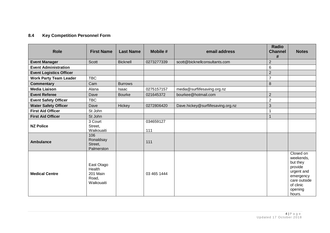# **8.4 Key Competition Personnel Form**

| <b>Role</b>                    | <b>First Name</b>                                       | <b>Last Name</b> | Mobile #         | email address                     | <b>Radio</b><br><b>Channel</b><br># | <b>Notes</b>                                                                                                               |
|--------------------------------|---------------------------------------------------------|------------------|------------------|-----------------------------------|-------------------------------------|----------------------------------------------------------------------------------------------------------------------------|
| <b>Event Manager</b>           | Scott                                                   | <b>Bicknell</b>  | 0273277339       | scott@bicknellconsultants.com     | $\overline{2}$                      |                                                                                                                            |
| <b>Event Administration</b>    |                                                         |                  |                  |                                   | 6                                   |                                                                                                                            |
| <b>Event Logistics Officer</b> |                                                         |                  |                  |                                   | $\overline{2}$                      |                                                                                                                            |
| <b>Work Party Team Leader</b>  | <b>TBC</b>                                              |                  |                  |                                   | $\overline{7}$                      |                                                                                                                            |
| <b>Commentary</b>              | Cam                                                     | <b>Burrows</b>   |                  |                                   | 8                                   |                                                                                                                            |
| <b>Media Liaison</b>           | Alana                                                   | <b>Isaac</b>     | 0275157157       | media@surflifesaving.org.nz       |                                     |                                                                                                                            |
| <b>Event Referee</b>           | Dave                                                    | <b>Bourke</b>    | 021645372        | bourkee@hotmail.com               | $\overline{2}$                      |                                                                                                                            |
| <b>Event Safety Officer</b>    | <b>TBC</b>                                              |                  |                  |                                   | $\overline{c}$                      |                                                                                                                            |
| <b>Water Safety Officer</b>    | Dave                                                    | Hickey           | 0272806420       | Dave.hickey@surflifesaving.org.nz | 3                                   |                                                                                                                            |
| <b>First Aid Officer</b>       | St John                                                 |                  |                  |                                   | 1                                   |                                                                                                                            |
| <b>First Aid Officer</b>       | St John                                                 |                  |                  |                                   | $\mathbf{1}$                        |                                                                                                                            |
| <b>NZ Police</b>               | 3 Court<br>Street,<br>Waikouaiti                        |                  | 034659127<br>111 |                                   |                                     |                                                                                                                            |
| <b>Ambulance</b>               | 106<br>Ronaldsay<br>Street,<br>Palmerston               |                  | 111              |                                   |                                     |                                                                                                                            |
| <b>Medical Centre</b>          | East Otago<br>Health<br>201 Main<br>Road,<br>Waikouaiti |                  | 03 465 1444      |                                   |                                     | Closed on<br>weekends,<br>but they<br>provide<br>urgent and<br>emergency<br>care outside<br>of clinic<br>opening<br>hours. |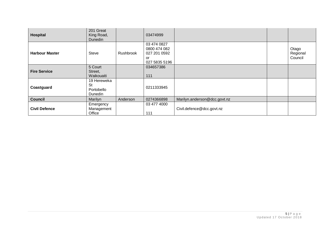| Hospital              | 201 Great<br>King Road,<br>Dunedin                |           | 03474999                                                           |                              |                              |
|-----------------------|---------------------------------------------------|-----------|--------------------------------------------------------------------|------------------------------|------------------------------|
| <b>Harbour Master</b> | <b>Steve</b>                                      | Rushbrook | 03 474 0827<br>0800 474 082<br>027 201 0592<br>or<br>027 5835 5196 |                              | Otago<br>Regional<br>Council |
| <b>Fire Service</b>   | 5 Court<br>Street,<br>Waikouaiti                  |           | 034657386<br>111                                                   |                              |                              |
| Coastguard            | 19 Hereweka<br><b>St</b><br>Portobello<br>Dunedin |           | 0211333945                                                         |                              |                              |
| <b>Council</b>        | Marilyn                                           | Anderson  | 0274366898                                                         | Marilyn.anderson@dcc.govt.nz |                              |
| <b>Civil Defence</b>  | Emergency<br>Management<br>Office                 |           | 03 477 4000<br>111                                                 | Civil.defence@dcc.govt.nz    |                              |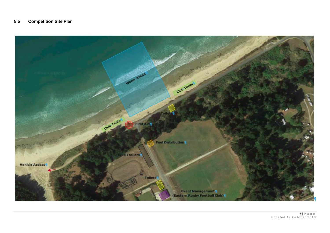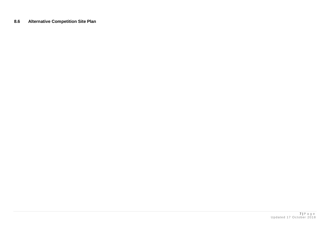**8.6 Alternative Competition Site Plan**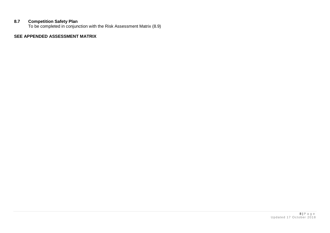#### **8.7 Competition Safety Plan**

To be completed in conjunction with the Risk Assessment Matrix (8.9)

#### **SEE APPENDED ASSESSMENT MATRIX**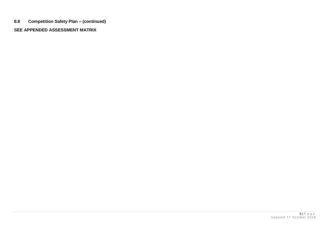**8.8 Competition Safety Plan – (continued)**

#### **SEE APPENDED ASSESSMENT MATRIX**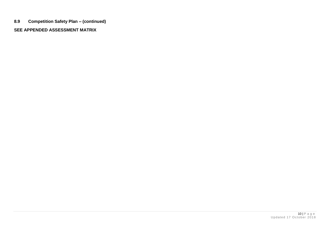**8.9 Competition Safety Plan – (continued)**

**SEE APPENDED ASSESSMENT MATRIX**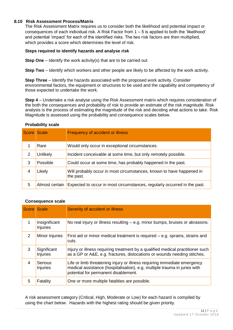#### **8.10 Risk Assessment Process/Matrix**

The Risk Assessment Matrix requires us to consider both the likelihood and potential impact or consequences of each individual risk. A Risk Factor from  $1 - 5$  is applied to both the 'likelihood' and potential 'impact' for each of the identified risks. The two risk factors are then multiplied, which provides a score which determines the level of risk.

#### **Steps required to identify hazards and analyse risk**

**Step One** – Identify the work activity(s) that are to be carried out

**Step Two** – Identify which workers and other people are likely to be affected by the work activity.

**Step Three** – Identify the hazards associated with the proposed work activity. Consider environmental factors, the equipment or structures to be used and the capability and competency of those expected to undertake the work.

**Step 4** – Undertake a risk analyse using the Risk Assessment matrix which requires consideration of the both the consequences and probability of risk to provide an estimate of the risk magnitude. Risk analysis is the process of estimating the magnitude of the risk and deciding what actions to take. Risk Magnitude is assessed using the probability and consequence scales below.

| Score Scale |                | Frequency of accident or illness                                                  |
|-------------|----------------|-----------------------------------------------------------------------------------|
|             | Rare           | Would only occur in exceptional circumstances.                                    |
| 2           | Unlikely       | Incident conceivable at some time, but only remotely possible.                    |
| 3           | Possible       | Could occur at some time, has probably happened in the past.                      |
|             | Likely         | Will probably occur in most circumstances, known to have happened in<br>the past. |
| 5           | Almost certain | Expected to occur in most circumstances, regularly occurred in the past.          |

#### **Probability scale**

#### **Consequence scale**

| Score Scale |                                  | Severity of accident or illness                                                                                                                                                               |
|-------------|----------------------------------|-----------------------------------------------------------------------------------------------------------------------------------------------------------------------------------------------|
|             | Insignificant<br><b>Injuries</b> | No real injury or illness resulting $-$ e.g. minor bumps, bruises or abrasions.                                                                                                               |
| 2           | Minor Injuries                   | First aid or minor medical treatment is required – e.g. sprains, strains and<br>cuts.                                                                                                         |
| 3           | Significant<br><b>Injuries</b>   | Injury or illness requiring treatment by a qualified medical practitioner such<br>as a GP or A&E, e.g. fractures, dislocations or wounds needing stitches.                                    |
| 4           | Serious<br><b>Injuries</b>       | Life or limb threatening injury or illness requiring immediate emergency<br>medical assistance (hospitalisation), e.g. multiple trauma in juries with<br>potential for permanent disablement. |
| 5           | Fatality                         | One or more multiple fatalities are possible.                                                                                                                                                 |

A risk assessment category (Critical, High, Moderate or Low) for each hazard is compiled by using the chart below. Hazards with the highest rating should be given priority.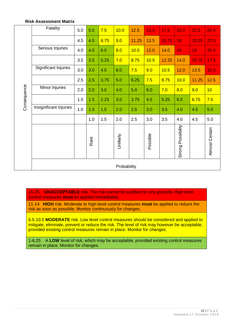#### **Risk Assessment Matrix**

|             | Fatality               | 5.0 | 5.0  | 7.5  | 10.0        | 12.5  | 15.0     | 17.5  | 20.0                  | 22.5  | 25.0           |
|-------------|------------------------|-----|------|------|-------------|-------|----------|-------|-----------------------|-------|----------------|
|             |                        | 4.5 | 4.5  | 6.75 | 9.0         | 11.25 | 13.5     | 15.75 | 18                    | 20.25 | 22.5           |
|             | Serious Injuries       | 4.0 | 4.0  | 6.0  | 8.0         | 10.0  | 12.0     | 14.0  | 16                    | 18    | 20.0           |
|             |                        | 3.5 | 3.5  | 5.25 | 7.0         | 8.75  | 10.5     | 12.25 | 14.0                  | 15.75 | 17.5           |
|             | Significant Injuries   | 3.0 | 3.0  | 4.5  | 6.0         | 7.5   | 9.0      | 10.5  | 12.0                  | 13.5  | 15.0           |
|             |                        | 2.5 | 2.5  | 3.75 | 5.0         | 6.25  | 7.5      | 8.75  | 10.0                  | 11.25 | 12.5           |
| Consequence | Minor Injuries         | 2.0 | 2.0  | 3.0  | 4.0         | 5.0   | 6.0      | 7.0   | 8.0                   | 9.0   | 10             |
|             |                        | 1.5 | 1.5  | 2.25 | 3.0         | 3.75  | 4.5      | 5.25  | 6.0                   | 6.75  | 7.5            |
|             | Insignificant Injuries | 1.0 | 1.0  | 1.5  | 2.0         | 2.5   | 3.0      | 3.5   | 4.0                   | 4.5   | 5.0            |
|             |                        |     | 1.0  | 1.5  | 2.0         | 2.5   | 3.0      | 3.5   | 4.0                   | 4.5   | 5.0            |
|             |                        |     | Rare |      | Unlikely    |       | Possible |       | Possibility<br>Strong |       | Almost Certain |
|             |                        |     |      |      | Probability |       |          |       |                       |       |                |

15-25 **UNACCEPTABLE** risk. The risk cannot be justified on any grounds. High level control measures **must** be applied immediately.

11-14 **HIGH** risk. Moderate to high level control measures **must** be applied to reduce the risk as soon as possible. Monitor continuously for changes.

6.5-10.5 **MODERATE** risk. Low level control measures should be considered and applied to mitigate, eliminate, prevent or reduce the risk. The level of risk may however be acceptable, provided existing control measures remain in place. Monitor for changes.

1-6.25 A **LOW** level of risk, which may be acceptable, provided existing control measures remain in place. Monitor for changes.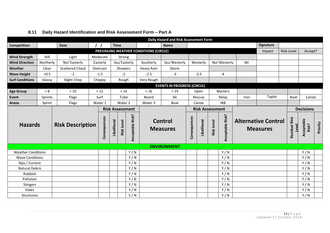|                           |           |                         |                   |             |                   |                        |                                        | Daily Hazard and Risk Assessment Form |              |                        |                   |                  |                                               |           |                               |                     |                  |  |
|---------------------------|-----------|-------------------------|-------------------|-------------|-------------------|------------------------|----------------------------------------|---------------------------------------|--------------|------------------------|-------------------|------------------|-----------------------------------------------|-----------|-------------------------------|---------------------|------------------|--|
| Competition               |           | <b>Date</b>             | $\prime$ $\prime$ | <b>Time</b> |                   |                        |                                        | <b>Name</b>                           |              |                        |                   |                  |                                               | Signature |                               |                     |                  |  |
|                           |           |                         |                   |             |                   |                        | PREVAILING WEATHER CONDITIONS (CIRCLE) |                                       |              |                        |                   |                  |                                               | Impact    | <b>Risk Level</b>             |                     | Accept?          |  |
| <b>Wind Strength</b>      | Still     | Light                   | Moderate          |             | Strong            |                        |                                        |                                       |              |                        |                   |                  |                                               |           |                               |                     |                  |  |
| <b>Wind Direction</b>     | Northerly | Nor'Easterly            | Easterly          |             |                   | Sou'Easterly           | Southerly                              | Sou'Westerly                          |              | Westerly               |                   | Nor'Westerly     | Nil                                           |           |                               |                     |                  |  |
| Weather                   | Clear     | <b>Scattered Cloud</b>  | Overcast          |             | Showers           |                        | Heavy Rain                             | Storm                                 |              |                        |                   |                  |                                               |           |                               |                     |                  |  |
| <b>Wave Height</b>        | < 0.5     | $-1$                    | $-1.5$            |             | $-2$              |                        | $-2.5$                                 | $-3$                                  |              | $-3.5$                 |                   | $-4$             |                                               |           |                               |                     |                  |  |
| <b>Surf Conditions</b>    | Glassy    | Slight Chop             | Choppy            |             | Rough             |                        | Very Rough                             |                                       |              |                        |                   |                  |                                               |           |                               |                     |                  |  |
|                           |           |                         |                   |             |                   |                        |                                        | <b>EVENTS IN PROGRESS (CIRCLE)</b>    |              |                        |                   |                  |                                               |           |                               |                     |                  |  |
| <b>Age Group</b>          | < 8       | $<10$                   | < 12              |             | < 14              |                        | $<16$                                  | < 19                                  |              | Open                   |                   | <b>Masters</b>   |                                               |           |                               |                     |                  |  |
| <b>Event</b>              | Sprints   | Flags                   | Surf              |             | Tube              |                        | Board                                  | Ski                                   |              | Rescue                 |                   | Relay            | Iron                                          | Taplin    |                               | Boat                | Canoe            |  |
| Arena                     | Sprint    | Flags                   | Water 1           |             | Water 2           |                        | Water 3                                | Boat                                  |              | Canoe                  |                   | <b>IRB</b>       |                                               |           |                               |                     |                  |  |
|                           |           |                         |                   |             |                   | <b>Risk Assessment</b> |                                        |                                       |              | <b>Risk Assessment</b> |                   |                  |                                               |           |                               |                     | <b>Decisions</b> |  |
| <b>Hazards</b>            |           | <b>Risk Description</b> | Consequences      | Likelihood  | <b>Risk Level</b> | Acceptable Risk?       |                                        | <b>Control</b><br><b>Measures</b>     | Consequences | Likelihood             | <b>Risk Level</b> | Acceptable Risk? | <b>Alternative Control</b><br><b>Measures</b> |           | <b>Residual Risk</b><br>Level | Acceptable<br>Risk? | Priority         |  |
|                           |           |                         |                   |             |                   |                        |                                        | <b>ENVIRONMENT</b>                    |              |                        |                   |                  |                                               |           |                               |                     |                  |  |
| <b>Weather Conditions</b> |           |                         |                   |             |                   | Y/N                    |                                        |                                       |              |                        |                   | Y/N              |                                               |           |                               |                     | Y/N              |  |
| <b>Wave Conditions</b>    |           |                         |                   |             |                   | Y/N                    |                                        |                                       |              |                        |                   | Y/N              |                                               |           |                               |                     | Y/N              |  |
| Rips / Current            |           |                         |                   |             |                   | Y/N                    |                                        |                                       |              |                        |                   | Y/N              |                                               |           |                               |                     | Y/N              |  |
| <b>Natural Debris</b>     |           |                         |                   |             |                   | Y/N                    |                                        |                                       |              |                        |                   | Y/N              |                                               |           |                               |                     | Y/N              |  |
| Rubbish                   |           |                         |                   |             |                   | Y/N                    |                                        |                                       |              |                        |                   | Y/N              |                                               |           |                               |                     | Y/N              |  |
| Pollution                 |           |                         |                   |             |                   | Y/N                    |                                        |                                       |              |                        |                   | Y/N              |                                               |           |                               |                     | Y/N              |  |
| Stingers                  |           |                         |                   |             |                   | Y/N                    |                                        |                                       |              |                        |                   | Y/N              |                                               |           |                               |                     | Y/N              |  |
| Holes                     |           |                         |                   |             |                   | Y/N<br>Y/N             |                                        |                                       |              |                        |                   | Y/N<br>Y/N       |                                               |           |                               |                     | Y/N<br>Y/N       |  |
| <b>Structures</b>         |           |                         |                   |             |                   |                        |                                        |                                       |              |                        |                   |                  |                                               |           |                               |                     |                  |  |

# **8.11 Daily Hazard Identification and Risk Assessment Form – Part A**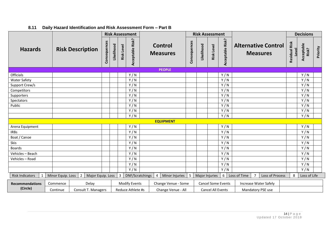|                        |                   |                                     |              |            |                   | <b>Risk Assessment</b> |   |                            |              | <b>Risk Assessment</b> |                   |                           |                                               |                               | <b>Decisions</b>    |          |
|------------------------|-------------------|-------------------------------------|--------------|------------|-------------------|------------------------|---|----------------------------|--------------|------------------------|-------------------|---------------------------|-----------------------------------------------|-------------------------------|---------------------|----------|
| <b>Hazards</b>         |                   | <b>Risk Description</b>             | Consequences | Likelihood | <b>Risk Level</b> | Acceptable Risk?       |   | Control<br><b>Measures</b> | Consequences | Likelihood             | <b>Risk Level</b> | Acceptable Risk?          | <b>Alternative Control</b><br><b>Measures</b> | <b>Residual Risk</b><br>Level | Acceptable<br>Risk? | Priority |
|                        |                   |                                     |              |            |                   |                        |   | <b>PEOPLE</b>              |              |                        |                   |                           |                                               |                               |                     |          |
| Officials              |                   |                                     |              |            |                   | Y/N                    |   |                            |              |                        |                   | Y/N                       |                                               |                               | Y/N                 |          |
| <b>Water Safety</b>    |                   |                                     |              |            |                   | Y/N                    |   |                            |              |                        |                   | Y/N                       |                                               |                               | Y/N                 |          |
| Support Crew/s         |                   |                                     |              |            |                   | Y/N                    |   |                            |              |                        |                   | Y/N                       |                                               |                               | Y/N                 |          |
| Competitors            |                   |                                     |              |            |                   | Y/N                    |   |                            |              |                        |                   | Y/N                       |                                               |                               | Y/N                 |          |
| Supporters             |                   |                                     |              |            |                   | Y/N                    |   |                            |              |                        |                   | Y/N                       |                                               |                               | Y/N                 |          |
| Spectators             |                   |                                     |              |            |                   | Y/N                    |   |                            |              |                        |                   | Y/N                       |                                               |                               | Y/N                 |          |
| Public                 |                   |                                     |              |            |                   | Y/N                    |   |                            |              |                        |                   | Y/N                       |                                               |                               | Y/N                 |          |
|                        |                   |                                     |              |            |                   | Y/N                    |   |                            |              |                        |                   | Y/N                       |                                               |                               | Y/N                 |          |
|                        |                   |                                     |              |            |                   | Y/N                    |   |                            |              |                        |                   | Y/N                       |                                               |                               | Y/N                 |          |
|                        |                   |                                     |              |            |                   |                        |   | <b>EQUIPMENT</b>           |              |                        |                   |                           |                                               |                               |                     |          |
| Arena Equipment        |                   |                                     |              |            |                   | Y/N                    |   |                            |              |                        |                   | Y/N                       |                                               |                               | Y/N                 |          |
| <b>IRBs</b>            |                   |                                     |              |            |                   | Y/N                    |   |                            |              |                        |                   | Y/N                       |                                               |                               | Y/N                 |          |
| Boat / Canoe           |                   |                                     |              |            |                   | Y/N                    |   |                            |              |                        |                   | Y/N                       |                                               |                               | Y/N                 |          |
| Skis                   |                   |                                     |              |            |                   | Y/N                    |   |                            |              |                        |                   | Y/N                       |                                               |                               | Y/N                 |          |
| <b>Boards</b>          |                   |                                     |              |            |                   | Y/N                    |   |                            |              |                        |                   | Y/N                       |                                               |                               | Y/N                 |          |
| Vehicles - Beach       |                   |                                     |              |            |                   | Y/N                    |   |                            |              |                        |                   | Y/N                       |                                               |                               | Y/N                 |          |
| Vehicles - Road        |                   |                                     |              |            |                   | Y/N                    |   |                            |              |                        |                   | Y/N                       |                                               |                               | Y/N                 |          |
|                        |                   |                                     |              |            |                   | Y/N                    |   |                            |              |                        |                   | Y/N                       |                                               |                               | Y/N                 |          |
|                        |                   |                                     |              |            |                   | Y/N                    |   |                            |              |                        |                   | Y/N                       |                                               |                               | Y/N                 |          |
| <b>Risk Indicators</b> | Minor Equip. Loss | Major Equip. Loss<br>$\overline{2}$ |              |            | $\overline{3}$    | DNF/Scratchings        | 4 | Minor Injuries             | 5            | Major Injuries         |                   | 6                         | Loss of Time<br>Loss of Process               | 8                             | Loss of Life        |          |
| <b>Recommendations</b> | Commence          | Delay                               |              |            |                   | <b>Modify Events</b>   |   | Change Venue - Some        |              |                        |                   | <b>Cancel Some Events</b> | <b>Increase Water Safely</b>                  |                               |                     |          |
| (Circle)               | Continue          | Consult T. Managers                 |              |            |                   | Reduce Athlete #s      |   | Change Venue - All         |              |                        | Cancel All Events |                           | Mandatory PSE use                             |                               |                     |          |

#### **8.11 Daily Hazard Identification and Risk Assessment Form – Part B**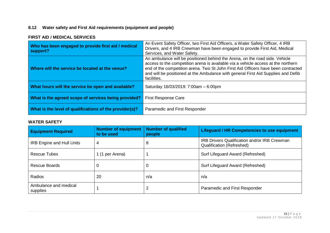#### **8.12 Water safety and First Aid requirements (equipment and people)**

#### **FIRST AID / MEDICAL SERVICES**

| Who has been engaged to provide first aid / medical<br>support? | An Event Safety Officer, two First Aid Officers, a Water Safety Officer, 4 IRB<br>Drivers, and 4 IRB Crewman have been engaged to provide First Aid, Medical<br>Services, and Water Safety.                                                                                                                                                               |
|-----------------------------------------------------------------|-----------------------------------------------------------------------------------------------------------------------------------------------------------------------------------------------------------------------------------------------------------------------------------------------------------------------------------------------------------|
| Where will the service be located at the venue?                 | An ambulance will be positioned behind the Arena, on the road side. Vehicle<br>access to the competition arena is available via a vehicle access at the northern<br>end of the competition arena. Two St John First Aid Officers have been contracted<br>and will be positioned at the Ambulance with general First Aid Supplies and Defib<br>facilities. |
| What hours will the service be open and available?              | Saturday 16/03/2019: 7:00am - 6:00pm                                                                                                                                                                                                                                                                                                                      |
| What is the agreed scope of services being provided?            | <b>First Response Care</b>                                                                                                                                                                                                                                                                                                                                |
| What is the level of qualifications of the provider(s)?         | Paramedic and First Responder                                                                                                                                                                                                                                                                                                                             |

#### **WATER SAFETY**

| <b>Equipment Required</b>         | <b>Number of equipment</b><br>to be used | <b>Number of qualified</b><br>people | <b>Lifeguard / HR Competencies to use equipment</b>                              |
|-----------------------------------|------------------------------------------|--------------------------------------|----------------------------------------------------------------------------------|
| <b>IRB Engine and Hull Units</b>  | 4                                        | 8                                    | IRB Drivers Qualification and/or IRB Crewman<br><b>Qualification (Refreshed)</b> |
| <b>Rescue Tubes</b>               | 1 (1 per Arena)                          |                                      | Surf Lifeguard Award (Refreshed)                                                 |
| Rescue Boards                     | 0                                        | U                                    | Surf Lifeguard Award (Refreshed)                                                 |
| Radios                            | 20                                       | n/a                                  | n/a                                                                              |
| Ambulance and medical<br>supplies |                                          | 2                                    | Paramedic and First Responder                                                    |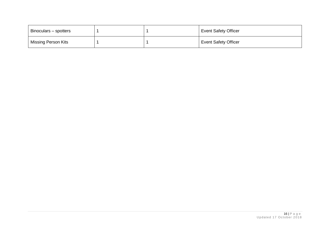| Binoculars – spotters |  | <b>Event Safety Officer</b> |
|-----------------------|--|-----------------------------|
| Missing Person Kits   |  | <b>Event Safety Officer</b> |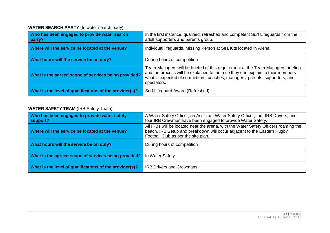#### **WATER SEARCH PARTY** (In water search party)

| Who has been engaged to provide water search<br>party?  | In the first instance, qualified, refreshed and competent Surf Lifeguards from the<br>adult supporters and parents group.                                                                                                                                        |
|---------------------------------------------------------|------------------------------------------------------------------------------------------------------------------------------------------------------------------------------------------------------------------------------------------------------------------|
| Where will the service be located at the venue?         | Individual lifeguards. Missing Person at Sea Kits located in Arena                                                                                                                                                                                               |
| What hours will the service be on duty?                 | During hours of competition.                                                                                                                                                                                                                                     |
| What is the agreed scope of services being provided?    | Team Managers will be briefed of this requirement at the Team Managers briefing<br>and the process will be explained to them so they can explain to their members<br>what is expected of competitors, coaches, managers, parents, supporters, and<br>spectators. |
| What is the level of qualifications of the provider(s)? | Surf Lifeguard Award (Refreshed)                                                                                                                                                                                                                                 |

# **WATER SAFETY TEAM** (IRB Safety Team)

| Who has been engaged to provide water safety<br>support? | A Water Safety Officer, an Assistant Water Safety Officer, four IRB Drivers, and<br>four IRB Crewman have been engaged to provide Water Safety.                                                       |
|----------------------------------------------------------|-------------------------------------------------------------------------------------------------------------------------------------------------------------------------------------------------------|
| Where will the service be located at the venue?          | All IRBs will be located near the arena, with the Water Safety Officers roaming the<br>beach. IRB Setup and breakdown will occur adjacent to the Eastern Rugby<br>Football Club as per the site plan. |
| What hours will the service be on duty?                  | During hours of competition                                                                                                                                                                           |
| What is the agreed scope of services being provided?     | In Water Safety                                                                                                                                                                                       |
| What is the level of qualifications of the provider(s)?  | <b>IRB Drivers and Crewmans</b>                                                                                                                                                                       |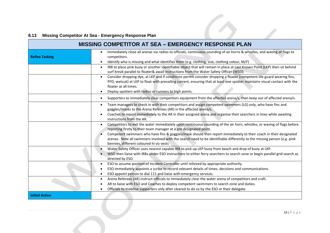# **8.13 Missing Competitor At Sea - Emergency Response Plan**

| <b>MISSING COMPETITOR AT SEA - EMERGENCY RESPONSE PLAN</b> |                                                                                                                                                                                                                                                                                                                                                                                                                                                                                                        |  |  |
|------------------------------------------------------------|--------------------------------------------------------------------------------------------------------------------------------------------------------------------------------------------------------------------------------------------------------------------------------------------------------------------------------------------------------------------------------------------------------------------------------------------------------------------------------------------------------|--|--|
| <b>Reflex Tasking</b>                                      | Immediately close all arenas via radios to officials, continuous sounding of air horns & whistles, and waving of flags to<br>$\bullet$<br>competitors.<br>Identify who is missing and what identifies them (e.g. clothing, size, clothing colour, M/F)                                                                                                                                                                                                                                                 |  |  |
|                                                            | IRB to place pink buoy or another identifiable object that will remain in place at Last Known Point (LKP) then sit behind<br>$\bullet$<br>surf break parallel to floater& await instructions from the Water Safety Officer (WSO).                                                                                                                                                                                                                                                                      |  |  |
|                                                            | Consider dropping dye, at LKP and if conditions permit consider dropping a floater (competent life guard wearing fins,<br>$\bullet$<br>PFD, wetsuit) at LKP to float with prevailing current, ensuring that at least one spotter maintains visual contact with the<br>floater at all times.<br>Deploy spotters with radios or runners to high points.                                                                                                                                                  |  |  |
|                                                            | Supporters to immediately clear competitors equipment from the affected arena/s, then keep out of affected arena/s.                                                                                                                                                                                                                                                                                                                                                                                    |  |  |
|                                                            | Team managers to check in with their competitors and assign competent swimmers (LG) only, who have fins and<br>$\bullet$<br>goggles/masks to the Arena Referees (AR) in the affected arena/s.<br>Coaches to report immediately to the AR in their assigned arena and organise their searchers in lines while awaiting<br>instructions from the AR.                                                                                                                                                     |  |  |
|                                                            | Competitors to exit the water immediately upon continuous sounding of the air horn, whistles, or waving of flags before<br>$\bullet$<br>reporting firstly to their team manager at a pre designated point.<br>Competent swimmers who have fins & goggles/mask should then report immediately to their coach in their designated<br>arenas. Note all swimmers involved with the search need to be identifiable differently to the missing person (e.g. pink<br>bennies, different coloured hi viz vests |  |  |
|                                                            | Water Safety Officer uses nearest capable IRB to pick up LKP buoy from beach and drop of buoy at LKP.<br>WSO then liaise with IRBs under ESO instructions to either ferry searchers to search zone or begin parallel grid search as<br>directed by ESO.                                                                                                                                                                                                                                                |  |  |
|                                                            | ESO to assume position of Incident Controller until relieved by appropriate authority.<br>$\bullet$<br>ESO immediately appoints a scribe to record relevant details of times, decisions and communications.<br>ESO appoint person to dial 111 and liaise with emergency services.                                                                                                                                                                                                                      |  |  |
|                                                            | Arena Referees (AR) instruct officials to immediately clear the water arena of competitors and craft.<br>$\bullet$<br>AR to liaise with ESO and Coaches to deploy competent swimmers to search zone and duties.<br>Officials to mobilise supporters only after cleared to do so by the ESO or their delegate.                                                                                                                                                                                          |  |  |
| <b>Initial Action</b>                                      |                                                                                                                                                                                                                                                                                                                                                                                                                                                                                                        |  |  |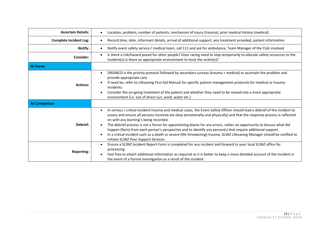| <b>Ascertain Details:</b>     | Location, problem, number of patients, mechanism of injury (trauma), prior medical history (medical)                                                                                                                                                                                                                                                                                                                                                                                                                                                                                                                                                                                                                       |
|-------------------------------|----------------------------------------------------------------------------------------------------------------------------------------------------------------------------------------------------------------------------------------------------------------------------------------------------------------------------------------------------------------------------------------------------------------------------------------------------------------------------------------------------------------------------------------------------------------------------------------------------------------------------------------------------------------------------------------------------------------------------|
| <b>Complete Incident Log:</b> | Record time, date, informant details, arrival of additional support, any treatment provided, patient information                                                                                                                                                                                                                                                                                                                                                                                                                                                                                                                                                                                                           |
| Notify:                       | Notify event safety service / medical team, call 111 and ask for ambulance, Team Manager of the Club involved<br>$\bullet$                                                                                                                                                                                                                                                                                                                                                                                                                                                                                                                                                                                                 |
| <b>Consider:</b>              | Is there a risk/hazard posed for other people? Does racing need to stop temporarily to allocate safety resources to the<br>$\bullet$<br>incident(s). Is there an appropriate environment to treat the victim(s)?                                                                                                                                                                                                                                                                                                                                                                                                                                                                                                           |
| <b>At Scene</b>               |                                                                                                                                                                                                                                                                                                                                                                                                                                                                                                                                                                                                                                                                                                                            |
| <b>Actions:</b>               | DRSABCD is the priority protocol followed by secondary surveys (trauma + medical) to ascertain the problem and<br>$\bullet$<br>provide appropriate care.<br>If need be, refer to Lifesaving First Aid Manual for specific patient management protocols for medical or trauma<br>incidents.<br>Consider the on-going treatment of the patient and whether they need to be moved into a more appropriate<br>environment (i.e. out of direct sun, wind, water etc.)                                                                                                                                                                                                                                                           |
| <b>At Completion</b>          |                                                                                                                                                                                                                                                                                                                                                                                                                                                                                                                                                                                                                                                                                                                            |
| Debrief:                      | In serious / critical incident trauma and medical cases, the Event Safety Officer should lead a debrief of the incident to<br>$\bullet$<br>assess and ensure all persons involved are okay (emotionally and physically) and that the response process is reflected<br>on with any learning's being recorded.<br>The debrief process is not a forum for apportioning blame for any errors, rather an opportunity to discuss what did<br>happen (facts) from each person's perspective and to identify any person(s) that require additional support.<br>In a critical incident such as a death or severe (life threatening) trauma, SLSNZ Lifesaving Manager should be notified to<br>initiate SLSNZ Peer Support Services. |
| <b>Reporting:</b>             | Ensure a SLSNZ Incident Report Form is completed for any incident and forward to your local SLSNZ office for<br>$\bullet$<br>processing.<br>Feel free to attach additional information as required as it is better to keep a more detailed account of the incident in<br>the event of a formal investigation as a result of the incident.                                                                                                                                                                                                                                                                                                                                                                                  |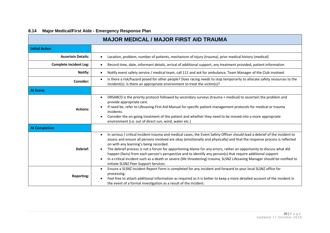# **8.14 Major Medical/First Aide - Emergency Response Plan**

| <b>MAJOR MEDICAL / MAJOR FIRST AID TRAUMA</b> |                                                                                                                                                                                                                                                                                                                                                                                                                                                                                                                                                                                                                                                                                                                            |  |  |
|-----------------------------------------------|----------------------------------------------------------------------------------------------------------------------------------------------------------------------------------------------------------------------------------------------------------------------------------------------------------------------------------------------------------------------------------------------------------------------------------------------------------------------------------------------------------------------------------------------------------------------------------------------------------------------------------------------------------------------------------------------------------------------------|--|--|
| <b>Initial Action</b>                         |                                                                                                                                                                                                                                                                                                                                                                                                                                                                                                                                                                                                                                                                                                                            |  |  |
| <b>Ascertain Details:</b>                     | Location, problem, number of patients, mechanism of injury (trauma), prior medical history (medical)                                                                                                                                                                                                                                                                                                                                                                                                                                                                                                                                                                                                                       |  |  |
| <b>Complete Incident Log:</b>                 | Record time, date, informant details, arrival of additional support, any treatment provided, patient information<br>$\bullet$                                                                                                                                                                                                                                                                                                                                                                                                                                                                                                                                                                                              |  |  |
| Notify:                                       | Notify event safety service / medical team, call 111 and ask for ambulance, Team Manager of the Club involved<br>$\bullet$                                                                                                                                                                                                                                                                                                                                                                                                                                                                                                                                                                                                 |  |  |
| <b>Consider:</b>                              | Is there a risk/hazard posed for other people? Does racing needs to stop temporarily to allocate safety resources to the<br>$\bullet$<br>incident(s). Is there an appropriate environment to treat the victim(s)?                                                                                                                                                                                                                                                                                                                                                                                                                                                                                                          |  |  |
| <b>At Scene</b>                               |                                                                                                                                                                                                                                                                                                                                                                                                                                                                                                                                                                                                                                                                                                                            |  |  |
| <b>Actions:</b>                               | DRSABCD is the priority protocol followed by secondary surveys (trauma + medical) to ascertain the problem and<br>$\bullet$<br>provide appropriate care.<br>If need be, refer to Lifesaving First Aid Manual for specific patient management protocols for medical or trauma<br>incidents.<br>Consider the on-going treatment of the patient and whether they need to be moved into a more appropriate<br>environment (i.e. out of direct sun, wind, water etc.)                                                                                                                                                                                                                                                           |  |  |
| <b>At Completion</b>                          |                                                                                                                                                                                                                                                                                                                                                                                                                                                                                                                                                                                                                                                                                                                            |  |  |
| Debrief:                                      | In serious / critical incident trauma and medical cases, the Event Safety Officer should lead a debrief of the incident to<br>$\bullet$<br>assess and ensure all persons involved are okay (emotionally and physically) and that the response process is reflected<br>on with any learning's being recorded.<br>The debrief process is not a forum for apportioning blame for any errors, rather an opportunity to discuss what did<br>happen (facts) from each person's perspective and to identify any person(s) that require additional support.<br>In a critical incident such as a death or severe (life threatening) trauma, SLSNZ Lifesaving Manager should be notified to<br>initiate SLSNZ Peer Support Services. |  |  |
| <b>Reporting:</b>                             | Ensure a SLSNZ Incident Report Form is completed for any incident and forward to your local SLSNZ office for<br>$\bullet$<br>processing.<br>Feel free to attach additional information as required as it is better to keep a more detailed account of the incident in<br>the event of a formal investigation as a result of the incident.                                                                                                                                                                                                                                                                                                                                                                                  |  |  |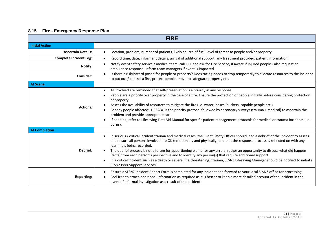# **8.15 Fire - Emergency Response Plan**

| <b>FIRE</b>                   |                                                                                                                                                                                                                                                                                                                                                                                                                                                                                                                                                                                                                                                                                                             |  |  |
|-------------------------------|-------------------------------------------------------------------------------------------------------------------------------------------------------------------------------------------------------------------------------------------------------------------------------------------------------------------------------------------------------------------------------------------------------------------------------------------------------------------------------------------------------------------------------------------------------------------------------------------------------------------------------------------------------------------------------------------------------------|--|--|
| <b>Initial Action</b>         |                                                                                                                                                                                                                                                                                                                                                                                                                                                                                                                                                                                                                                                                                                             |  |  |
| <b>Ascertain Details:</b>     | Location, problem, number of patients, likely source of fuel, level of threat to people and/or property                                                                                                                                                                                                                                                                                                                                                                                                                                                                                                                                                                                                     |  |  |
| <b>Complete Incident Log:</b> | Record time, date, informant details, arrival of additional support, any treatment provided, patient information                                                                                                                                                                                                                                                                                                                                                                                                                                                                                                                                                                                            |  |  |
| Notify:                       | Notify event safety service / medical team, call 111 and ask for Fire Service, if aware if injured people - also request an<br>$\bullet$<br>ambulance response. Inform team managers if event is impacted.                                                                                                                                                                                                                                                                                                                                                                                                                                                                                                  |  |  |
| Consider:                     | Is there a risk/hazard posed for people or property? Does racing needs to stop temporarily to allocate resources to the incident<br>$\bullet$<br>to put out / control a fire, protect people, move to safeguard property etc.                                                                                                                                                                                                                                                                                                                                                                                                                                                                               |  |  |
| <b>At Scene</b>               |                                                                                                                                                                                                                                                                                                                                                                                                                                                                                                                                                                                                                                                                                                             |  |  |
| <b>Actions:</b>               | All involved are reminded that self-preservation is a priority in any response.<br>$\bullet$<br>People are a priority over property in the case of a fire. Ensure the protection of people initially before considering protection<br>of property.<br>Assess the availability of resources to mitigate the fire (i.e. water, hoses, buckets, capable people etc.)<br>For any people affected: DRSABC is the priority protocol followed by secondary surveys (trauma + medical) to ascertain the<br>problem and provide appropriate care.<br>If need be, refer to Lifesaving First Aid Manual for specific patient management protocols for medical or trauma incidents (i.e.<br>burns).                     |  |  |
| <b>At Completion</b>          |                                                                                                                                                                                                                                                                                                                                                                                                                                                                                                                                                                                                                                                                                                             |  |  |
| Debrief:                      | In serious / critical incident trauma and medical cases, the Event Safety Officer should lead a debrief of the incident to assess<br>and ensure all persons involved are OK (emotionally and physically) and that the response process is reflected on with any<br>learning's being recorded.<br>The debrief process is not a forum for apportioning blame for any errors, rather an opportunity to discuss what did happen<br>(facts) from each person's perspective and to identify any person(s) that require additional support.<br>In a critical incident such as a death or severe (life threatening) trauma, SLSNZ Lifesaving Manager should be notified to initiate<br>SLSNZ Peer Support Services. |  |  |
| <b>Reporting:</b>             | Ensure a SLSNZ Incident Report Form is completed for any incident and forward to your local SLSNZ office for processing.<br>Feel free to attach additional information as required as it is better to keep a more detailed account of the incident in the<br>event of a formal investigation as a result of the incident.                                                                                                                                                                                                                                                                                                                                                                                   |  |  |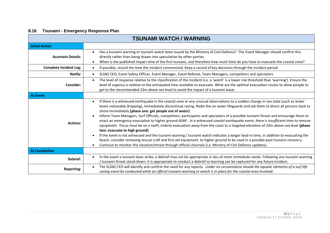# **8.16 Tsunami - Emergency Response Plan**

| <b>TSUNAMI WATCH / WARNING</b> |                                                                                                                                                                                                                                                                                                                                                                                                                                                                                                                                                                                                                                                                                                                                                                                                                                                                                                                                                                                                                                                                                                                                                                                                           |  |  |
|--------------------------------|-----------------------------------------------------------------------------------------------------------------------------------------------------------------------------------------------------------------------------------------------------------------------------------------------------------------------------------------------------------------------------------------------------------------------------------------------------------------------------------------------------------------------------------------------------------------------------------------------------------------------------------------------------------------------------------------------------------------------------------------------------------------------------------------------------------------------------------------------------------------------------------------------------------------------------------------------------------------------------------------------------------------------------------------------------------------------------------------------------------------------------------------------------------------------------------------------------------|--|--|
| <b>Initial Action</b>          |                                                                                                                                                                                                                                                                                                                                                                                                                                                                                                                                                                                                                                                                                                                                                                                                                                                                                                                                                                                                                                                                                                                                                                                                           |  |  |
| <b>Ascertain Details:</b>      | Has a tsunami warning or tsunami watch been issued by the Ministry of Civil Defence? The Event Manager should confirm this<br>directly rather than being drawn into speculation by other parties.<br>When is the published impact time of the first tsunami, and therefore how much time do you have to evacuate the coastal zone?<br>$\bullet$                                                                                                                                                                                                                                                                                                                                                                                                                                                                                                                                                                                                                                                                                                                                                                                                                                                           |  |  |
| <b>Complete Incident Log:</b>  | If possible, record the time the incident commenced. Keep a record of key decisions through the incident period.<br>$\bullet$                                                                                                                                                                                                                                                                                                                                                                                                                                                                                                                                                                                                                                                                                                                                                                                                                                                                                                                                                                                                                                                                             |  |  |
| Notify:                        | SLSNZ CEO, Event Safety Officer, Event Manager, Event Referee, Team Managers, competitors and spectators<br>$\bullet$                                                                                                                                                                                                                                                                                                                                                                                                                                                                                                                                                                                                                                                                                                                                                                                                                                                                                                                                                                                                                                                                                     |  |  |
| <b>Consider:</b>               | The level of response relative to the classification of the incident (i.e. a 'watch' is a lower risk threshold than 'warning'). Ensure the<br>$\bullet$<br>level of urgency is relative to the anticipated time available to evacuate. What are the optimal evacuation routes to allow people to<br>get to the recommended 23m above sea level to avoid the impact of a tsunami wave.                                                                                                                                                                                                                                                                                                                                                                                                                                                                                                                                                                                                                                                                                                                                                                                                                     |  |  |
| <b>At Scene</b>                |                                                                                                                                                                                                                                                                                                                                                                                                                                                                                                                                                                                                                                                                                                                                                                                                                                                                                                                                                                                                                                                                                                                                                                                                           |  |  |
| <b>Actions:</b>                | If there is a witnessed earthquake in the coastal zone or any unusual observations to a sudden change in sea state (such as water<br>$\bullet$<br>levels noticeably dropping), immediately discontinue racing. Radio the on water lifeguards and ask them to direct all persons back to<br>shore immediately (phase one: get people out of water)<br>Inform Team Managers, Surf Officials, competitors, participants and spectators of a possible tsunami threat and encourage them to<br>$\bullet$<br>enact an emergency evacuation to higher ground ASAP. In a witnessed coastal earthquake event, there is insufficient time to remove<br>equipment. Focus must be on a swift, orderly evacuation away from the coast to a targeted elevation of 23m above sea level (phase<br>two: evacuate to high ground)<br>If the event is not witnessed and the tsunami warning / tsunami watch indicates a longer lead-in time, in addition to evacuating the<br>beach, consider removing rescue craft and first aid equipment to higher ground to be used in a possible post tsunami recovery.<br>Continue to monitor the situation/threat through official channels (i.e. Ministry of Civil Defence updates). |  |  |
| <b>At Completion</b>           |                                                                                                                                                                                                                                                                                                                                                                                                                                                                                                                                                                                                                                                                                                                                                                                                                                                                                                                                                                                                                                                                                                                                                                                                           |  |  |
| Debrief:                       | In the event a tsunami does strike, a debrief may not be appropriate in lieu of more immediate needs. Following any tsunami warning<br>$\bullet$<br>/ tsunami threat stand-down, it is appropriate to conduct a debrief so learning can be captured for any future incident.                                                                                                                                                                                                                                                                                                                                                                                                                                                                                                                                                                                                                                                                                                                                                                                                                                                                                                                              |  |  |
| <b>Reporting:</b>              | The SLSNZ CEO will identify and confirm the need for any reports. Under no circumstance should the aquatic elements of a surf life<br>$\bullet$<br>saving event be conducted while an official tsunami warning or watch is in place for the coastal area involved.                                                                                                                                                                                                                                                                                                                                                                                                                                                                                                                                                                                                                                                                                                                                                                                                                                                                                                                                        |  |  |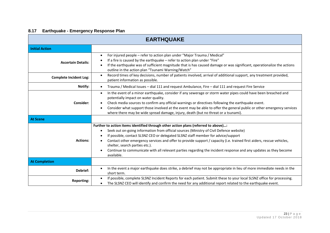# **8.17 Earthquake - Emergency Response Plan**

| <b>EARTHQUAKE</b>             |                                                                                                                                                                                                                                                                                                                                                                                                                                                                                                                                                                 |  |  |
|-------------------------------|-----------------------------------------------------------------------------------------------------------------------------------------------------------------------------------------------------------------------------------------------------------------------------------------------------------------------------------------------------------------------------------------------------------------------------------------------------------------------------------------------------------------------------------------------------------------|--|--|
| <b>Initial Action</b>         |                                                                                                                                                                                                                                                                                                                                                                                                                                                                                                                                                                 |  |  |
| <b>Ascertain Details:</b>     | For injured people - refer to action plan under "Major Trauma / Medical"<br>If a fire is caused by the earthquake - refer to action plan under "Fire"<br>If the earthquake was of sufficient magnitude that is has caused damage or was significant, operationalize the actions<br>outline in the action plan "Tsunami Warning/Watch"                                                                                                                                                                                                                           |  |  |
| <b>Complete Incident Log:</b> | Record times of key decisions, number of patients involved, arrival of additional support, any treatment provided,<br>$\bullet$<br>patient information as possible.                                                                                                                                                                                                                                                                                                                                                                                             |  |  |
| Notify:                       | Trauma / Medical Issues - dial 111 and request Ambulance, Fire - dial 111 and request Fire Service                                                                                                                                                                                                                                                                                                                                                                                                                                                              |  |  |
| Consider:                     | In the event of a minor earthquake, consider if any sewerage or storm water pipes could have been breached and<br>$\bullet$<br>potentially impact on water quality.<br>Check media sources to confirm any official warnings or directives following the earthquake event.<br>Consider what support those involved at the event may be able to offer the general public or other emergency services<br>where there may be wide spread damage, injury, death (but no threat or a tsunami).                                                                        |  |  |
| <b>At Scene</b>               |                                                                                                                                                                                                                                                                                                                                                                                                                                                                                                                                                                 |  |  |
| <b>Actions:</b>               | Further to action items identified through other action plans (referred to above):<br>Seek out on-going information from official sources (Ministry of Civil Defence website)<br>If possible, contact SLSNZ CEO or delegated SLSNZ staff member for advice/support<br>Contact other emergency services and offer to provide support / capacity (i.e. trained first aiders, rescue vehicles,<br>shelter, search parties etc.).<br>Continue to communicate with all relevant parties regarding the incident response and any updates as they become<br>available. |  |  |
| <b>At Completion</b>          |                                                                                                                                                                                                                                                                                                                                                                                                                                                                                                                                                                 |  |  |
| Debrief:                      | In the event a major earthquake does strike, a debrief may not be appropriate in lieu of more immediate needs in the<br>٠<br>short term.                                                                                                                                                                                                                                                                                                                                                                                                                        |  |  |
| <b>Reporting:</b>             | If possible, complete SLSNZ Incident Reports for each patient. Submit these to your local SLSNZ office for processing.<br>$\bullet$<br>The SLSNZ CEO will identify and confirm the need for any additional report related to the earthquake event.                                                                                                                                                                                                                                                                                                              |  |  |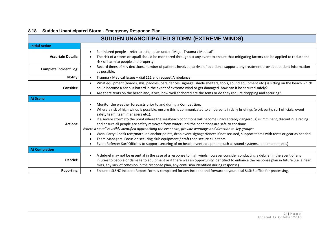| <b>SUDDEN UNANCITIPATED STORM (EXTREME WINDS)</b> |                                                                                                                                                                                                                                                                                                                                                                                                                                                                                                                                                                                                                                                                                                                                                                                                                                                                                                                                                                                                             |  |  |
|---------------------------------------------------|-------------------------------------------------------------------------------------------------------------------------------------------------------------------------------------------------------------------------------------------------------------------------------------------------------------------------------------------------------------------------------------------------------------------------------------------------------------------------------------------------------------------------------------------------------------------------------------------------------------------------------------------------------------------------------------------------------------------------------------------------------------------------------------------------------------------------------------------------------------------------------------------------------------------------------------------------------------------------------------------------------------|--|--|
| <b>Initial Action</b>                             |                                                                                                                                                                                                                                                                                                                                                                                                                                                                                                                                                                                                                                                                                                                                                                                                                                                                                                                                                                                                             |  |  |
| <b>Ascertain Details:</b>                         | For injured people – refer to action plan under "Major Trauma / Medical".<br>$\bullet$<br>The risk of a storm or squall should be monitored throughout any event to ensure that mitigating factors can be applied to reduce the<br>risk of harm to people and property.                                                                                                                                                                                                                                                                                                                                                                                                                                                                                                                                                                                                                                                                                                                                     |  |  |
| <b>Complete Incident Log:</b>                     | Record times of key decisions, number of patients involved, arrival of additional support, any treatment provided, patient information<br>$\bullet$<br>as possible.                                                                                                                                                                                                                                                                                                                                                                                                                                                                                                                                                                                                                                                                                                                                                                                                                                         |  |  |
| Notify:                                           | Trauma / Medical Issues - dial 111 and request Ambulance<br>$\bullet$                                                                                                                                                                                                                                                                                                                                                                                                                                                                                                                                                                                                                                                                                                                                                                                                                                                                                                                                       |  |  |
| Consider:                                         | What equipment (boards, skis, paddles, oars, fences, signage, shade shelters, tools, sound equipment etc.) is sitting on the beach which<br>$\bullet$<br>could become a serious hazard in the event of extreme wind or get damaged, how can it be secured safely?<br>Are there tents on the beach and, if yes, how well anchored are the tents or do they require dropping and securing?<br>$\bullet$                                                                                                                                                                                                                                                                                                                                                                                                                                                                                                                                                                                                       |  |  |
| <b>At Scene</b>                                   |                                                                                                                                                                                                                                                                                                                                                                                                                                                                                                                                                                                                                                                                                                                                                                                                                                                                                                                                                                                                             |  |  |
| <b>Actions:</b>                                   | Monitor the weather forecasts prior to and during a Competition.<br>$\bullet$<br>Where a risk of high winds is possible, ensure this is communicated to all persons in daily briefings (work party, surf officials, event<br>٠<br>safety team, team managers etc.).<br>If a severe storm (to the point where the sea/beach conditions will become unacceptably dangerous) is imminent, discontinue racing<br>$\bullet$<br>and ensure all people are safety removed from water until the conditions are safe to continue.<br>Where a squall is visibly identified approaching the event site, provide warnings and direction to key groups:<br>Work Party: Check tent/marquee anchor points, drop event signage/fences if not secured, support teams with tents or gear as needed.<br>Team Managers: Focus on securing club equipment / craft then secure club tents<br>Event Referee: Surf Officials to support securing of on beach event equipment such as sound systems, lane markers etc.)<br>$\bullet$ |  |  |
| <b>At Completion</b>                              |                                                                                                                                                                                                                                                                                                                                                                                                                                                                                                                                                                                                                                                                                                                                                                                                                                                                                                                                                                                                             |  |  |
| Debrief:                                          | A debrief may not be essential in the case of a response to high winds however consider conducting a debrief in the event of any<br>$\bullet$<br>injuries to people or damage to equipment or if there was an opportunity identified to enhance the response plan in future (i.e. a near<br>miss, any lack of cohesion in the response plan, any confusion identified during response).                                                                                                                                                                                                                                                                                                                                                                                                                                                                                                                                                                                                                     |  |  |
| <b>Reporting:</b>                                 | Ensure a SLSNZ Incident Report Form is completed for any incident and forward to your local SLSNZ office for processing.                                                                                                                                                                                                                                                                                                                                                                                                                                                                                                                                                                                                                                                                                                                                                                                                                                                                                    |  |  |

# **8.18 Sudden Unanticipated Storm - Emergency Response Plan**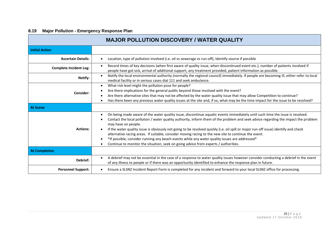# **8.19 Major Pollution - Emergency Response Plan**

| <b>MAJOR POLLUTION DISCOVERY / WATER QUALITY</b> |                                                                                                                                                                                                                                                                                                                                                                                                                                                                                                                                                                                                                                                                                                                                   |  |  |
|--------------------------------------------------|-----------------------------------------------------------------------------------------------------------------------------------------------------------------------------------------------------------------------------------------------------------------------------------------------------------------------------------------------------------------------------------------------------------------------------------------------------------------------------------------------------------------------------------------------------------------------------------------------------------------------------------------------------------------------------------------------------------------------------------|--|--|
| <b>Initial Action</b>                            |                                                                                                                                                                                                                                                                                                                                                                                                                                                                                                                                                                                                                                                                                                                                   |  |  |
| <b>Ascertain Details:</b>                        | Location, type of pollution involved (i.e. oil vs sewerage vs run-off), Identify source if possible                                                                                                                                                                                                                                                                                                                                                                                                                                                                                                                                                                                                                               |  |  |
| <b>Complete Incident Log:</b>                    | Record times of key decisions (when first aware of quality issue, when discontinued event etc.), number of patients involved if<br>$\bullet$<br>people have got sick, arrival of additional support, any treatment provided, patient information as possible.                                                                                                                                                                                                                                                                                                                                                                                                                                                                     |  |  |
| Notify:                                          | Notify the local environmental authority (normally the regional council) immediately. If people are becoming ill, either refer to local<br>medical facility or in serious cases dial 111 and seek ambulance.                                                                                                                                                                                                                                                                                                                                                                                                                                                                                                                      |  |  |
| Consider:                                        | What risk level might the pollution pose for people?<br>$\bullet$<br>Are there implications for the general public beyond those involved with the event?<br>Are there alternative sites that may not be affected by the water quality issue that may allow Competition to continue?<br>Has there been any previous water quality issues at the site and, if so, what may be the time impact for the issue to be resolved?                                                                                                                                                                                                                                                                                                         |  |  |
| <b>At Scene</b>                                  |                                                                                                                                                                                                                                                                                                                                                                                                                                                                                                                                                                                                                                                                                                                                   |  |  |
| <b>Actions:</b>                                  | On being made aware of the water quality issue, discontinue aquatic events immediately until such time the issue is resolved.<br>Contact the local pollution / water quality authority, inform them of the problem and seek advice regarding the impact the problem<br>may have on people.<br>If the water quality issue is obviously not going to be resolved quickly (i.e. oil spill or major run-off issue) identify and check<br>alternative racing areas. If suitable, consider moving racing to the new site to continue the event.<br>*If possible, consider running any beach events while any water quality issues are addressed*<br>Continue to monitor the situation, seek on going advice from experts / authorities. |  |  |
| <b>At Completion</b>                             |                                                                                                                                                                                                                                                                                                                                                                                                                                                                                                                                                                                                                                                                                                                                   |  |  |
| Debrief:                                         | A debrief may not be essential in the case of a response to water quality issues however consider conducting a debrief in the event<br>$\bullet$<br>of any illness to people or if there was an opportunity identified to enhance the response plan in future.                                                                                                                                                                                                                                                                                                                                                                                                                                                                    |  |  |
| <b>Personnel Support:</b>                        | Ensure a SLSNZ Incident Report Form is completed for any incident and forward to your local SLSNZ office for processing.                                                                                                                                                                                                                                                                                                                                                                                                                                                                                                                                                                                                          |  |  |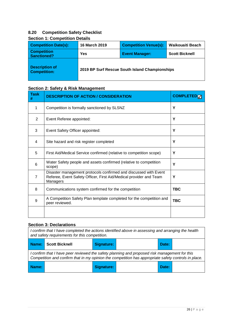#### **8.20 Competition Safety Checklist**

| Section 1: Competition Details               |                                                |                              |                       |
|----------------------------------------------|------------------------------------------------|------------------------------|-----------------------|
| <b>Competition Date(s):</b>                  | <b>16 March 2019</b>                           | <b>Competition Venue(s):</b> | Waikouaiti Beach      |
| <b>Competition</b><br><b>Sanctioned?</b>     | Yes                                            | <b>Event Manager:</b>        | <b>Scott Bicknell</b> |
| <b>Description of</b><br><b>Competition:</b> | 2019 BP Surf Rescue South Island Championships |                              |                       |

#### **Section 1: Competition Details**

#### **Section 2: Safety & Risk Management**

| <b>Task</b><br># | <b>DESCRIPTION OF ACTION / CONSIDERATION</b>                                                                                                       | <b>COMPLETED</b> |
|------------------|----------------------------------------------------------------------------------------------------------------------------------------------------|------------------|
| 1                | Competition is formally sanctioned by SLSNZ                                                                                                        | Y                |
| 2                | Event Referee appointed:                                                                                                                           | Y                |
| 3                | Event Safety Officer appointed:                                                                                                                    | Y                |
| 4                | Site hazard and risk register completed                                                                                                            | Y                |
| 5                | First Aid/Medical Service confirmed (relative to competition scope)                                                                                | Y                |
| 6                | Water Safety people and assets confirmed (relative to competition<br>scope)                                                                        | Y                |
| $\overline{7}$   | Disaster management protocols confirmed and discussed with Event<br>Referee, Event Safety Officer, First Aid/Medical provider and Team<br>Managers | Y                |
| 8                | Communications system confirmed for the competition                                                                                                | <b>TBC</b>       |
| 9                | A Competition Safety Plan template completed for the competition and<br>peer reviewed.                                                             | <b>TBC</b>       |
|                  |                                                                                                                                                    |                  |

#### **Section 3: Declarations**

| I confirm that I have completed the actions identified above in assessing and arranging the health<br>and safety requirements for this competition.                                                   |                                                    |  |  |  |  |  |  |  |  |  |  |  |
|-------------------------------------------------------------------------------------------------------------------------------------------------------------------------------------------------------|----------------------------------------------------|--|--|--|--|--|--|--|--|--|--|--|
|                                                                                                                                                                                                       | Name: Scott Bicknell<br><b>Signature:</b><br>Date: |  |  |  |  |  |  |  |  |  |  |  |
| I confirm that I have peer reviewed the safety planning and proposed risk management for this<br>Competition and confirm that in my opinion the competition has appropriate safety controls in place. |                                                    |  |  |  |  |  |  |  |  |  |  |  |
| Name:<br><b>Signature:</b><br>Date:                                                                                                                                                                   |                                                    |  |  |  |  |  |  |  |  |  |  |  |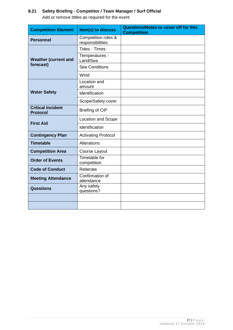# **8.21 Safety Briefing - Competitor / Team Manager / Surf Official**

Add or remove tittles as required for the event

| <b>Competition Element</b>                  | Item(s) to discuss                      | <b>Questions/Notes to cover off for this</b><br><b>Competition</b> |
|---------------------------------------------|-----------------------------------------|--------------------------------------------------------------------|
| <b>Personnel</b>                            | Competition roles &<br>responsibilities |                                                                    |
|                                             | <b>Tides - Times</b>                    |                                                                    |
| <b>Weather (current and</b>                 | Temperatures -<br>Land/Sea              |                                                                    |
| forecast)                                   | <b>Sea Conditions</b>                   |                                                                    |
|                                             | Wind                                    |                                                                    |
|                                             | Location and<br>amount                  |                                                                    |
| <b>Water Safety</b>                         | Identification                          |                                                                    |
|                                             | Scope/Safety cover                      |                                                                    |
| <b>Critical Incident</b><br><b>Protocol</b> | Briefing of CIP                         |                                                                    |
| <b>First Aid</b>                            | <b>Location and Scope</b>               |                                                                    |
|                                             | Identification                          |                                                                    |
| <b>Contingency Plan</b>                     | <b>Activating Protocol</b>              |                                                                    |
| <b>Timetable</b>                            | Alterations                             |                                                                    |
| <b>Competition Area</b>                     | Course Layout                           |                                                                    |
| <b>Order of Events</b>                      | Timetable for<br>competition            |                                                                    |
| <b>Code of Conduct</b>                      | Reiterate                               |                                                                    |
| <b>Meeting Attendance</b>                   | Confirmation of<br>attendance           |                                                                    |
| <b>Questions</b>                            | Any safety<br>questions?                |                                                                    |
|                                             |                                         |                                                                    |
|                                             |                                         |                                                                    |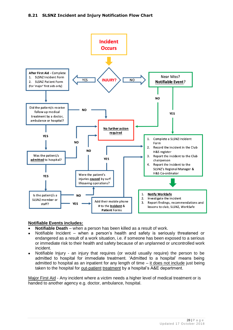

#### **Notifiable Events includes:**

- **Notifiable Death** when a person has been killed as a result of work.
- Notifiable Incident when a person's health and safety is seriously threatened or endangered as a result of a work situation, i.e. if someone has been exposed to a serious or immediate risk to their health and safety because of an unplanned or uncontrolled work incident.
- Notifiable Injury an injury that requires (or would usually require) the person to be admitted to hospital for immediate treatment. 'Admitted to a hospital' means being admitted to hospital as an inpatient for any length of time  $-$  it does not include just being taken to the hospital for out-patient treatment by a hospital's A&E department.

Major First Aid - Any incident where a victim needs a higher level of medical treatment or is handed to another agency e.g. doctor, ambulance, hospital.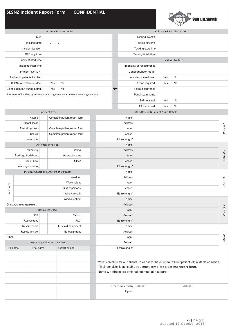# **SLSNZ Incident Report Form CONFIDENTIAL**



| Incident & Team Details                    |                                 |                   |                                  |                                                                                      |  |                        |                | Police Tasking Information |                                                                                                                               |     |                          |                                                                                                       |           |  |  |
|--------------------------------------------|---------------------------------|-------------------|----------------------------------|--------------------------------------------------------------------------------------|--|------------------------|----------------|----------------------------|-------------------------------------------------------------------------------------------------------------------------------|-----|--------------------------|-------------------------------------------------------------------------------------------------------|-----------|--|--|
|                                            |                                 | Club              |                                  |                                                                                      |  |                        |                | Tasking event #            |                                                                                                                               |     |                          |                                                                                                       |           |  |  |
|                                            |                                 | Incident date     | $\sqrt{2}$                       | $\prime$                                                                             |  |                        |                |                            | Tasking officer #                                                                                                             |     |                          |                                                                                                       |           |  |  |
|                                            |                                 | Incident location |                                  |                                                                                      |  |                        |                |                            | Tasking start time                                                                                                            |     |                          |                                                                                                       |           |  |  |
|                                            |                                 | GPS or grid ref   |                                  |                                                                                      |  |                        |                |                            | Tasking finish time                                                                                                           |     |                          |                                                                                                       |           |  |  |
|                                            | Incident start time             |                   |                                  |                                                                                      |  |                        |                |                            |                                                                                                                               |     | <b>Incident Analysis</b> |                                                                                                       |           |  |  |
|                                            | Incident finish time            |                   |                                  |                                                                                      |  |                        |                |                            | Probability of reoccurrence                                                                                                   |     |                          |                                                                                                       |           |  |  |
|                                            | Incident level (0-4)            |                   |                                  |                                                                                      |  |                        |                |                            | Consequence/impact                                                                                                            |     |                          |                                                                                                       |           |  |  |
|                                            |                                 |                   |                                  |                                                                                      |  |                        |                |                            | Accident investigated                                                                                                         |     | No                       |                                                                                                       |           |  |  |
| Number of patients involved                |                                 |                   |                                  |                                                                                      |  |                        |                |                            |                                                                                                                               | Yes |                          |                                                                                                       |           |  |  |
|                                            | SLSNZ workplace incident        |                   | Yes                              | No                                                                                   |  |                        |                |                            | Action required                                                                                                               | Yes | No                       |                                                                                                       |           |  |  |
|                                            | Did this happen during patrol?  | Yes               | No                               |                                                                                      |  | →<br>Patrol occurrence |                |                            |                                                                                                                               |     |                          |                                                                                                       |           |  |  |
|                                            |                                 |                   |                                  | Summary of incident (please enter what happened, when and the response effort below) |  |                        |                |                            | Patrol team name                                                                                                              |     |                          |                                                                                                       |           |  |  |
|                                            |                                 |                   |                                  |                                                                                      |  |                        |                | No<br>Yes<br>EAP required  |                                                                                                                               |     |                          |                                                                                                       |           |  |  |
|                                            |                                 |                   |                                  |                                                                                      |  |                        |                |                            | EAP actioned                                                                                                                  | Yes | No                       |                                                                                                       |           |  |  |
|                                            |                                 |                   | Incident Type                    |                                                                                      |  |                        |                |                            | Mass Rescue & Patient Assist Details                                                                                          |     |                          |                                                                                                       |           |  |  |
|                                            |                                 | Rescue            |                                  | Complete patient report form                                                         |  |                        |                | Name                       |                                                                                                                               |     |                          |                                                                                                       |           |  |  |
|                                            | Patient assist                  |                   |                                  |                                                                                      |  |                        |                | Address                    |                                                                                                                               |     |                          |                                                                                                       |           |  |  |
|                                            | First aid (major)               |                   |                                  | Complete patient report form                                                         |  |                        |                | Age*                       |                                                                                                                               |     |                          |                                                                                                       | Patient 1 |  |  |
|                                            |                                 | Search            |                                  | Complete patient report form                                                         |  |                        |                | Gender*                    |                                                                                                                               |     |                          |                                                                                                       |           |  |  |
|                                            |                                 | Near miss         |                                  |                                                                                      |  |                        |                | Ethnic origin*             |                                                                                                                               |     |                          |                                                                                                       |           |  |  |
|                                            |                                 |                   | <b>Activities Involved</b>       |                                                                                      |  |                        |                | Name                       |                                                                                                                               |     |                          |                                                                                                       |           |  |  |
|                                            |                                 | Swimming          |                                  | Fishing                                                                              |  |                        |                | Address                    |                                                                                                                               |     |                          |                                                                                                       |           |  |  |
|                                            | Surfing / bodyboard             |                   |                                  | Attemptrescue                                                                        |  |                        |                | Age*                       |                                                                                                                               |     |                          |                                                                                                       | Patient 2 |  |  |
| Sail or boat                               |                                 |                   | Other                            |                                                                                      |  |                        | Gender*        |                            |                                                                                                                               |     |                          |                                                                                                       |           |  |  |
| Walking / running                          |                                 |                   |                                  |                                                                                      |  |                        | Ethnic origin* |                            |                                                                                                                               |     |                          |                                                                                                       |           |  |  |
| Incident Conditions (at start of incident) |                                 |                   |                                  |                                                                                      |  |                        |                | Name                       |                                                                                                                               |     |                          |                                                                                                       |           |  |  |
| Weather                                    |                                 |                   |                                  |                                                                                      |  | Address                |                |                            |                                                                                                                               |     |                          |                                                                                                       |           |  |  |
|                                            |                                 |                   | Wave height                      |                                                                                      |  |                        | Age*           |                            |                                                                                                                               |     |                          | Patient 3                                                                                             |           |  |  |
| See codes                                  |                                 |                   |                                  | Surf conditions                                                                      |  |                        |                | Gender*                    |                                                                                                                               |     |                          |                                                                                                       |           |  |  |
|                                            |                                 |                   |                                  | Wind strength                                                                        |  |                        |                | Ethnic origin*             |                                                                                                                               |     |                          |                                                                                                       |           |  |  |
|                                            |                                 |                   |                                  | Wind direction                                                                       |  |                        |                | Name                       |                                                                                                                               |     |                          |                                                                                                       |           |  |  |
|                                            | Other: (rips, holes, equipment) |                   |                                  |                                                                                      |  |                        |                | Address                    |                                                                                                                               |     |                          |                                                                                                       |           |  |  |
|                                            |                                 |                   | <b>Resources Used</b>            |                                                                                      |  |                        |                | Age*                       |                                                                                                                               |     |                          |                                                                                                       | Patient 4 |  |  |
|                                            |                                 | <b>IRB</b>        |                                  | Radios                                                                               |  |                        |                | Gender*                    |                                                                                                                               |     |                          |                                                                                                       |           |  |  |
|                                            | Rescue tube                     |                   |                                  | RWC                                                                                  |  |                        | Ethnic origin* |                            |                                                                                                                               |     |                          |                                                                                                       |           |  |  |
|                                            | Rescue board                    |                   |                                  | First aid equipment                                                                  |  |                        |                | Name                       |                                                                                                                               |     |                          |                                                                                                       |           |  |  |
|                                            | Rescue vehicle                  |                   |                                  | No equipment                                                                         |  |                        |                | Address                    |                                                                                                                               |     |                          |                                                                                                       |           |  |  |
| Other:                                     |                                 |                   |                                  |                                                                                      |  |                        | Age*           |                            |                                                                                                                               |     |                          |                                                                                                       | Patient 5 |  |  |
|                                            |                                 |                   | Lifeguards / Volunteers Involved |                                                                                      |  |                        |                | Gender*                    |                                                                                                                               |     |                          |                                                                                                       |           |  |  |
| First name                                 |                                 | Last name         |                                  | Surf ID number                                                                       |  |                        |                | Ethnic origin*             |                                                                                                                               |     |                          |                                                                                                       |           |  |  |
|                                            |                                 |                   |                                  |                                                                                      |  |                        |                |                            | If their condition is not stable you must complete a patient report form.<br>Name & address are optional but must add suburb. |     |                          | *Must complete for all patients. In all cases the outcome will be 'patient left in stable condition'. |           |  |  |
|                                            |                                 |                   |                                  |                                                                                      |  |                        |                | Form completed by          | First name                                                                                                                    |     |                          | Last name                                                                                             |           |  |  |
|                                            |                                 |                   |                                  |                                                                                      |  |                        |                | Signed                     |                                                                                                                               |     |                          |                                                                                                       |           |  |  |
|                                            |                                 |                   |                                  |                                                                                      |  |                        |                |                            |                                                                                                                               |     |                          |                                                                                                       |           |  |  |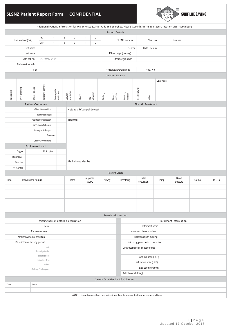# **SLSNZ Patient Report Form CONFIDENTIAL**



| Additional Patient Information for Major Rescues, First Aids and Searches. Please store this form in a secure location after completing. |                          |                               |                                                 |                            |                                      |                                    |              |                                   |                         |                       |                     |                                                                                         |                                                                |                        |                         |                  |                                    |                    |                 |  |
|------------------------------------------------------------------------------------------------------------------------------------------|--------------------------|-------------------------------|-------------------------------------------------|----------------------------|--------------------------------------|------------------------------------|--------------|-----------------------------------|-------------------------|-----------------------|---------------------|-----------------------------------------------------------------------------------------|----------------------------------------------------------------|------------------------|-------------------------|------------------|------------------------------------|--------------------|-----------------|--|
| <b>Patient Details</b>                                                                                                                   |                          |                               |                                                 |                            |                                      |                                    |              |                                   |                         |                       |                     |                                                                                         |                                                                |                        |                         |                  |                                    |                    |                 |  |
| Arr.<br>$\overline{4}$<br>Incidentlevel(0-4)                                                                                             |                          |                               | $\mathbf{3}$                                    | $\overline{2}$             | $\mathbf{1}$                         | $\mathbb O$                        |              |                                   |                         | SLSNZ member          |                     |                                                                                         |                                                                |                        | Number:                 |                  |                                    |                    |                 |  |
|                                                                                                                                          |                          |                               | Dep.                                            | $\overline{4}$             | $\mathbf{3}$                         | $\overline{2}$                     | $\mathbf{1}$ | $\mathbb O$                       |                         |                       |                     |                                                                                         |                                                                | Yes / No               |                         |                  |                                    |                    |                 |  |
| First name                                                                                                                               |                          |                               |                                                 |                            |                                      |                                    |              |                                   | Gender<br>Male / Female |                       |                     |                                                                                         |                                                                |                        |                         |                  |                                    |                    |                 |  |
| Last name                                                                                                                                |                          |                               |                                                 |                            |                                      |                                    |              |                                   | Ethnic origin (primary) |                       |                     |                                                                                         |                                                                |                        |                         |                  |                                    |                    |                 |  |
| Date of birth<br>DD / MM / YYYY                                                                                                          |                          |                               |                                                 |                            |                                      |                                    |              |                                   |                         |                       | Ethnic origin other |                                                                                         |                                                                |                        |                         |                  |                                    |                    |                 |  |
| Address & suburb                                                                                                                         |                          |                               |                                                 |                            |                                      |                                    |              |                                   |                         |                       |                     |                                                                                         |                                                                |                        |                         |                  |                                    |                    |                 |  |
|                                                                                                                                          |                          | City                          |                                                 |                            |                                      | Wasafatalityprevented?<br>Yes / No |              |                                   |                         |                       |                     |                                                                                         |                                                                |                        |                         |                  |                                    |                    |                 |  |
|                                                                                                                                          |                          |                               |                                                 |                            |                                      | <b>Incident Reason</b>             |              |                                   |                         |                       |                     |                                                                                         |                                                                |                        |                         |                  |                                    |                    |                 |  |
|                                                                                                                                          |                          |                               |                                                 |                            |                                      |                                    |              |                                   |                         |                       |                     | Other notes:                                                                            |                                                                |                        |                         |                  |                                    |                    |                 |  |
|                                                                                                                                          |                          |                               |                                                 |                            |                                      |                                    |              |                                   |                         |                       |                     |                                                                                         |                                                                |                        |                         |                  |                                    |                    |                 |  |
|                                                                                                                                          |                          |                               |                                                 |                            |                                      |                                    |              |                                   |                         |                       |                     |                                                                                         |                                                                |                        |                         |                  |                                    |                    |                 |  |
| Exhaustion                                                                                                                               | Poor swimming            | Drugs / alcohol               | Excessive clothing                              | Inappropriate<br>equipment | Jellyfish /<br>insect sting          | Cramp                              |              | $Cut /$<br>abrasions              | Bruising                | Burns/<br>sunburn     |                     | Breathing<br>difficulty                                                                 | Feeling unwell                                                 |                        | Other                   |                  |                                    |                    |                 |  |
| <b>First Aid Treatment</b>                                                                                                               |                          |                               |                                                 |                            |                                      |                                    |              |                                   |                         |                       |                     |                                                                                         |                                                                |                        |                         |                  |                                    |                    |                 |  |
|                                                                                                                                          |                          | <b>Patient Outcomes</b>       |                                                 |                            |                                      |                                    |              |                                   |                         |                       |                     |                                                                                         |                                                                |                        |                         |                  |                                    |                    |                 |  |
|                                                                                                                                          |                          |                               | Leftin stable condition                         |                            |                                      |                                    |              | History / chief complaint / onset |                         |                       |                     |                                                                                         |                                                                |                        |                         |                  |                                    |                    |                 |  |
|                                                                                                                                          |                          |                               | ReferredtoDoctor                                |                            |                                      | Treatment                          |              |                                   |                         |                       |                     |                                                                                         |                                                                |                        |                         |                  |                                    |                    |                 |  |
|                                                                                                                                          |                          |                               | Assistedfromthebeach                            |                            |                                      |                                    |              |                                   |                         |                       |                     |                                                                                         |                                                                |                        |                         |                  |                                    |                    |                 |  |
|                                                                                                                                          |                          |                               | Ambulance to hospital<br>Helicopter to hospital |                            |                                      |                                    |              |                                   |                         |                       |                     |                                                                                         |                                                                |                        |                         |                  |                                    |                    |                 |  |
|                                                                                                                                          |                          |                               |                                                 | Deceased                   |                                      |                                    |              |                                   |                         |                       |                     |                                                                                         |                                                                |                        |                         |                  |                                    |                    |                 |  |
|                                                                                                                                          |                          |                               | Unknown/Notfound                                |                            |                                      |                                    |              |                                   |                         |                       |                     |                                                                                         |                                                                |                        |                         |                  |                                    |                    |                 |  |
|                                                                                                                                          |                          | <b>Equipment Used</b>         |                                                 |                            |                                      |                                    |              |                                   |                         |                       |                     |                                                                                         |                                                                |                        |                         |                  |                                    |                    |                 |  |
|                                                                                                                                          | Oxygen                   |                               | FA Supplies                                     |                            |                                      |                                    |              |                                   |                         |                       |                     |                                                                                         |                                                                |                        |                         |                  |                                    |                    |                 |  |
|                                                                                                                                          | Defibrillator            |                               |                                                 |                            |                                      |                                    |              |                                   |                         |                       |                     |                                                                                         |                                                                |                        |                         |                  |                                    |                    |                 |  |
|                                                                                                                                          |                          |                               |                                                 |                            |                                      | Medications / allergies            |              |                                   |                         |                       |                     |                                                                                         |                                                                |                        |                         |                  |                                    |                    |                 |  |
|                                                                                                                                          | Stretcher<br>Neck brace  |                               |                                                 |                            |                                      |                                    |              |                                   |                         |                       |                     |                                                                                         |                                                                |                        |                         |                  |                                    |                    |                 |  |
|                                                                                                                                          |                          |                               |                                                 |                            |                                      |                                    |              |                                   |                         | <b>Patient Vitals</b> |                     |                                                                                         |                                                                |                        |                         |                  |                                    |                    |                 |  |
|                                                                                                                                          |                          |                               |                                                 |                            |                                      | Response                           |              |                                   |                         |                       |                     | Pulse /                                                                                 |                                                                |                        |                         |                  | Blood                              |                    |                 |  |
| Time                                                                                                                                     |                          | Interventions / drugs         |                                                 |                            | Dose                                 |                                    |              | AVPU                              | Airway                  |                       |                     | Breathing                                                                               |                                                                | circulation            |                         | Temp             | pressure                           | O <sub>2</sub> Sat | <b>Bld Gluc</b> |  |
|                                                                                                                                          |                          |                               |                                                 |                            |                                      |                                    |              |                                   |                         |                       |                     |                                                                                         |                                                                |                        |                         | $\boldsymbol{I}$ |                                    |                    |                 |  |
|                                                                                                                                          |                          |                               |                                                 |                            |                                      |                                    |              |                                   |                         |                       |                     |                                                                                         |                                                                |                        |                         |                  | $\boldsymbol{I}$                   |                    |                 |  |
|                                                                                                                                          |                          |                               |                                                 |                            |                                      |                                    |              |                                   |                         |                       |                     |                                                                                         |                                                                |                        |                         |                  | $\boldsymbol{I}$<br>$\overline{1}$ |                    |                 |  |
|                                                                                                                                          |                          |                               |                                                 |                            |                                      |                                    |              |                                   |                         |                       |                     |                                                                                         |                                                                |                        |                         |                  | $\overline{1}$                     |                    |                 |  |
|                                                                                                                                          |                          |                               |                                                 |                            |                                      |                                    |              |                                   |                         |                       |                     |                                                                                         |                                                                |                        |                         |                  | $\overline{1}$                     |                    |                 |  |
|                                                                                                                                          |                          |                               |                                                 |                            |                                      |                                    |              |                                   |                         | Search Information    |                     |                                                                                         |                                                                |                        |                         |                  |                                    |                    |                 |  |
|                                                                                                                                          |                          |                               |                                                 |                            | Missing person details & description |                                    |              |                                   |                         |                       |                     |                                                                                         |                                                                |                        |                         |                  | Informant information              |                    |                 |  |
|                                                                                                                                          |                          |                               | Name                                            |                            |                                      |                                    |              |                                   |                         |                       |                     |                                                                                         | Informant name                                                 |                        |                         |                  |                                    |                    |                 |  |
|                                                                                                                                          |                          |                               | Phone numbers                                   |                            |                                      |                                    |              |                                   |                         |                       |                     |                                                                                         |                                                                |                        | Informant phone numbers |                  |                                    |                    |                 |  |
|                                                                                                                                          |                          | Medical & mental condition    |                                                 |                            |                                      |                                    |              |                                   |                         |                       |                     |                                                                                         |                                                                |                        | Relationship to missing |                  |                                    |                    |                 |  |
|                                                                                                                                          |                          | Description of missing person |                                                 |                            |                                      |                                    |              |                                   |                         |                       |                     |                                                                                         |                                                                |                        |                         |                  |                                    |                    |                 |  |
|                                                                                                                                          |                          |                               | Age                                             |                            |                                      |                                    |              |                                   |                         |                       |                     |                                                                                         | Missing person last location<br>Circumstances of disappearance |                        |                         |                  |                                    |                    |                 |  |
|                                                                                                                                          |                          |                               | Ethnicity Gender                                |                            |                                      |                                    |              |                                   |                         |                       |                     |                                                                                         |                                                                |                        |                         |                  |                                    |                    |                 |  |
| Height&build                                                                                                                             |                          |                               |                                                 |                            |                                      |                                    |              |                                   |                         |                       |                     | Point last seen (PLS)                                                                   |                                                                |                        |                         |                  |                                    |                    |                 |  |
|                                                                                                                                          | Haircolour Eye<br>colour |                               |                                                 |                            |                                      |                                    |              |                                   |                         |                       |                     |                                                                                         |                                                                | Last known point (LKP) |                         |                  |                                    |                    |                 |  |
|                                                                                                                                          | Clothing / belongings    |                               |                                                 |                            |                                      |                                    |              |                                   |                         |                       |                     |                                                                                         |                                                                | Last seen by whom      |                         |                  |                                    |                    |                 |  |
| Activity (what doing)                                                                                                                    |                          |                               |                                                 |                            |                                      |                                    |              |                                   |                         |                       |                     |                                                                                         |                                                                |                        |                         |                  |                                    |                    |                 |  |
|                                                                                                                                          |                          |                               |                                                 |                            |                                      |                                    |              |                                   |                         |                       |                     | Search Activities by SLS Volunteers                                                     |                                                                |                        |                         |                  |                                    |                    |                 |  |
| Time                                                                                                                                     |                          | Action                        |                                                 |                            |                                      |                                    |              |                                   |                         |                       |                     |                                                                                         |                                                                |                        |                         |                  |                                    |                    |                 |  |
|                                                                                                                                          |                          |                               |                                                 |                            |                                      |                                    |              |                                   |                         |                       |                     |                                                                                         |                                                                |                        |                         |                  |                                    |                    |                 |  |
|                                                                                                                                          |                          |                               |                                                 |                            |                                      |                                    |              |                                   |                         |                       |                     | NOTE: If there is more than one patient involved in a major incident use a second form. |                                                                |                        |                         |                  |                                    |                    |                 |  |